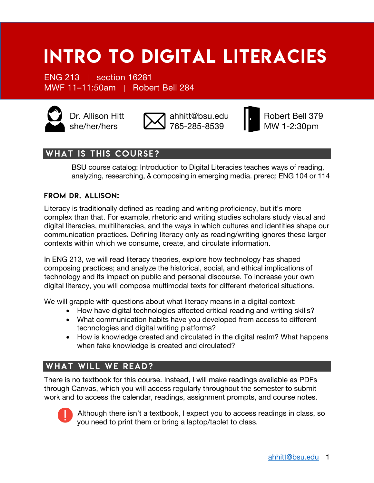# Intro to Digital Literacies

ENG 213 | section 16281 MWF 11–11:50am | Robert Bell 284









Dr. Allison Hitt **I. A.** ahhitt@bsu.edu **R.** Robert Bell 379

#### WHAT IS THIS COURSE?

BSU course catalog: Introduction to Digital Literacies teaches ways of reading, analyzing, researching, & composing in emerging media. prereq: ENG 104 or 114

#### from Dr. Allison:

Literacy is traditionally defined as reading and writing proficiency, but it's more complex than that. For example, rhetoric and writing studies scholars study visual and digital literacies, multiliteracies, and the ways in which cultures and identities shape our communication practices. Defining literacy only as reading/writing ignores these larger contexts within which we consume, create, and circulate information.

In ENG 213, we will read literacy theories, explore how technology has shaped composing practices; and analyze the historical, social, and ethical implications of technology and its impact on public and personal discourse. To increase your own digital literacy, you will compose multimodal texts for different rhetorical situations.

We will grapple with questions about what literacy means in a digital context:

- How have digital technologies affected critical reading and writing skills?
- What communication habits have you developed from access to different technologies and digital writing platforms?
- How is knowledge created and circulated in the digital realm? What happens when fake knowledge is created and circulated?

### WHAT WILL WE READ?

There is no textbook for this course. Instead, I will make readings available as PDFs through Canvas, which you will access regularly throughout the semester to submit work and to access the calendar, readings, assignment prompts, and course notes.



Although there isn't a textbook, I expect you to access readings in class, so you need to print them or bring a laptop/tablet to class.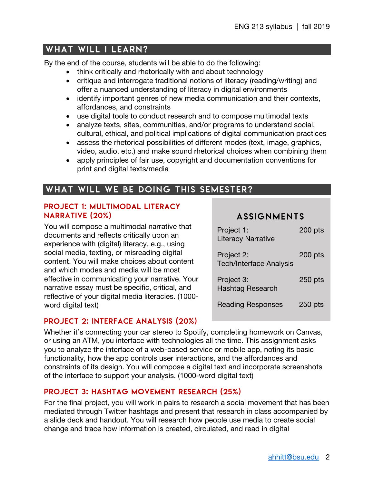### WHAT WILL I LEARN?

By the end of the course, students will be able to do the following:

- think critically and rhetorically with and about technology
- critique and interrogate traditional notions of literacy (reading/writing) and offer a nuanced understanding of literacy in digital environments
- identify important genres of new media communication and their contexts, affordances, and constraints
- use digital tools to conduct research and to compose multimodal texts
- analyze texts, sites, communities, and/or programs to understand social, cultural, ethical, and political implications of digital communication practices
- assess the rhetorical possibilities of different modes (text, image, graphics, video, audio, etc.) and make sound rhetorical choices when combining them
- apply principles of fair use, copyright and documentation conventions for print and digital texts/media

### WHAT WILL WE BE DOING THIS SEMESTER?

#### Project 1: Multimodal Literacy Narrative (20%)

You will compose a multimodal narrative that documents and reflects critically upon an experience with (digital) literacy, e.g., using social media, texting, or misreading digital content. You will make choices about content and which modes and media will be most effective in communicating your narrative. Your narrative essay must be specific, critical, and reflective of your digital media literacies. (1000 word digital text)

#### Project 2: Interface Analysis (20%)

#### **ASSIGNMENTS**

| Project 1:<br><b>Literacy Narrative</b>      | $200$ pts |
|----------------------------------------------|-----------|
| Project 2:<br><b>Tech/Interface Analysis</b> | $200$ pts |
| Project 3:<br><b>Hashtag Research</b>        | $250$ pts |
| <b>Reading Responses</b>                     | $250$ pts |

Note-Taking 100 pts

Whether it's connecting your car stereo to Spotify, completing homework on Canvas, or using an ATM, you interface with technologies all the time. This assignment asks you to analyze the interface of a web-based service or mobile app, noting its basic functionality, how the app controls user interactions, and the affordances and constraints of its design. You will compose a digital text and incorporate screenshots of the interface to support your analysis. (1000-word digital text)

#### Project 3: Hashtag Movement Research (25%)

For the final project, you will work in pairs to research a social movement that has been mediated through Twitter hashtags and present that research in class accompanied by a slide deck and handout. You will research how people use media to create social change and trace how information is created, circulated, and read in digital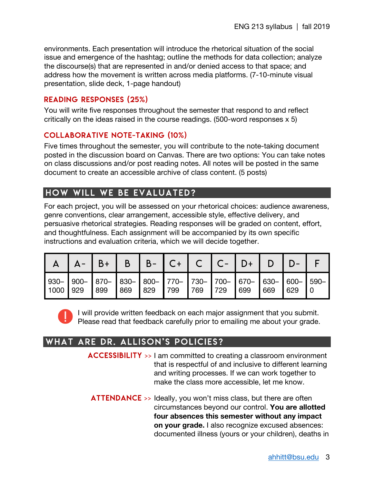environments. Each presentation will introduce the rhetorical situation of the social issue and emergence of the hashtag; outline the methods for data collection; analyze the discourse(s) that are represented in and/or denied access to that space; and address how the movement is written across media platforms. (7-10-minute visual presentation, slide deck, 1-page handout)

#### Reading Responses (25%)

You will write five responses throughout the semester that respond to and reflect critically on the ideas raised in the course readings. (500-word responses x 5)

#### Collaborative Note-Taking (10%)

Five times throughout the semester, you will contribute to the note-taking document posted in the discussion board on Canvas. There are two options: You can take notes on class discussions and/or post reading notes. All notes will be posted in the same document to create an accessible archive of class content. (5 posts)

#### HOW WILL WE BE EVALUATED?

For each project, you will be assessed on your rhetorical choices: audience awareness, genre conventions, clear arrangement, accessible style, effective delivery, and persuasive rhetorical strategies. Reading responses will be graded on content, effort, and thoughtfulness. Each assignment will be accompanied by its own specific instructions and evaluation criteria, which we will decide together.

|            | $\overline{A}$ $\overline{A}$ | $B+$                                                                                   |     |             |              |     |                                                 | $B$   B-   C+   C   C-   D+ |     |            |  |
|------------|-------------------------------|----------------------------------------------------------------------------------------|-----|-------------|--------------|-----|-------------------------------------------------|-----------------------------|-----|------------|--|
| 1000   929 |                               | 930-  900-  870-  830-  800-  770-  730-  700-  670-  630-  600-  590-  <br><b>899</b> | 869 | $\vert$ 829 | $\sqrt{799}$ | 769 | $\begin{array}{c} \n \text{729} \\ \end{array}$ | 699                         | 669 | $\mid$ 629 |  |



I will provide written feedback on each major assignment that you submit. Please read that feedback carefully prior to emailing me about your grade.

#### What are Dr. Allison's policies?

- ACCESSIBILITY >> I am committed to creating a classroom environment that is respectful of and inclusive to different learning and writing processes. If we can work together to make the class more accessible, let me know.
- **ATTENDANCE** >> Ideally, you won't miss class, but there are often circumstances beyond our control. **You are allotted four absences this semester without any impact on your grade.** I also recognize excused absences: documented illness (yours or your children), deaths in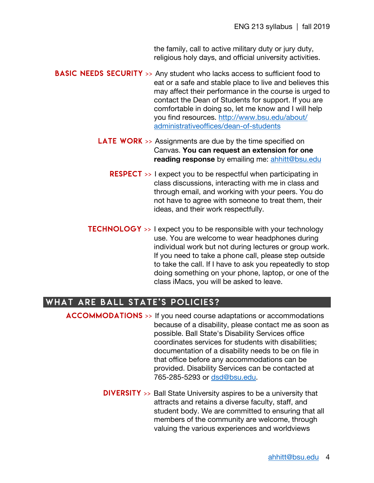the family, call to active military duty or jury duty, religious holy days, and official university activities.

- **BASIC NEEDS SECURITY** >> Any student who lacks access to sufficient food to eat or a safe and stable place to live and believes this may affect their performance in the course is urged to contact the Dean of Students for support. If you are comfortable in doing so, let me know and I will help you find resources. http://www.bsu.edu/about/ administrativeoffices/dean-of-students
	- **LATE WORK**  $\gg$  Assignments are due by the time specified on Canvas. **You can request an extension for one reading response** by emailing me: ahhitt@bsu.edu
		- **RESPECT** >> I expect you to be respectful when participating in class discussions, interacting with me in class and through email, and working with your peers. You do not have to agree with someone to treat them, their ideas, and their work respectfully.
	- TECHNOLOGY >> I expect you to be responsible with your technology use. You are welcome to wear headphones during individual work but not during lectures or group work. If you need to take a phone call, please step outside to take the call. If I have to ask you repeatedly to stop doing something on your phone, laptop, or one of the class iMacs, you will be asked to leave.

#### What are Ball State's policies?

- Accommodations >> If you need course adaptations or accommodations because of a disability, please contact me as soon as possible. Ball State's Disability Services office coordinates services for students with disabilities; documentation of a disability needs to be on file in that office before any accommodations can be provided. Disability Services can be contacted at 765-285-5293 or dsd@bsu.edu.
	- **DIVERSITY** >> Ball State University aspires to be a university that attracts and retains a diverse faculty, staff, and student body. We are committed to ensuring that all members of the community are welcome, through valuing the various experiences and worldviews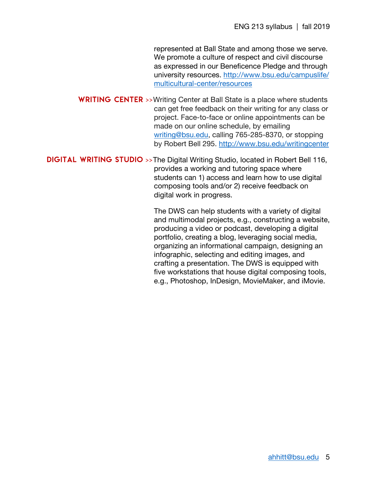represented at Ball State and among those we serve. We promote a culture of respect and civil discourse as expressed in our Beneficence Pledge and through university resources. http://www.bsu.edu/campuslife/ multicultural-center/resources

**WRITING CENTER** >>Writing Center at Ball State is a place where students can get free feedback on their writing for any class or project. Face-to-face or online appointments can be made on our online schedule, by emailing writing@bsu.edu, calling 765-285-8370, or stopping by Robert Bell 295. http://www.bsu.edu/writingcenter

DIGITAL WRITING STUDIO >>The Digital Writing Studio, located in Robert Bell 116, provides a working and tutoring space where students can 1) access and learn how to use digital composing tools and/or 2) receive feedback on digital work in progress.

> The DWS can help students with a variety of digital and multimodal projects, e.g., constructing a website, producing a video or podcast, developing a digital portfolio, creating a blog, leveraging social media, organizing an informational campaign, designing an infographic, selecting and editing images, and crafting a presentation. The DWS is equipped with five workstations that house digital composing tools, e.g., Photoshop, InDesign, MovieMaker, and iMovie.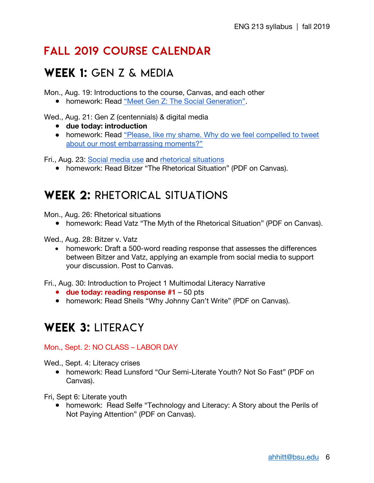# Fall 2019 course calendar

### Week 1: Gen z & media

Mon., Aug. 19: Introductions to the course, Canvas, and each other

● homework: Read "Meet Gen Z: The Social Generation".

Wed., Aug. 21: Gen Z (centennials) & digital media

- **due today: introduction**
- homework: Read "Please, like my shame. Why do we feel compelled to tweet about our most embarrassing moments?"

Fri., Aug. 23: Social media use and rhetorical situations

● homework: Read Bitzer "The Rhetorical Situation" (PDF on Canvas).

# WEEK 2: RHETORICAL SITUATIONS

Mon., Aug. 26: Rhetorical situations

● homework: Read Vatz "The Myth of the Rhetorical Situation" (PDF on Canvas).

Wed., Aug. 28: Bitzer v. Vatz

• homework: Draft a 500-word reading response that assesses the differences between Bitzer and Vatz, applying an example from social media to support your discussion. Post to Canvas.

Fri., Aug. 30: Introduction to Project 1 Multimodal Literacy Narrative

- **due today: reading response #1** 50 pts
- homework: Read Sheils "Why Johnny Can't Write" (PDF on Canvas).

# WEEK 3: LITERACY

#### Mon., Sept. 2: NO CLASS – LABOR DAY

Wed., Sept. 4: Literacy crises

● homework: Read Lunsford "Our Semi-Literate Youth? Not So Fast" (PDF on Canvas).

Fri, Sept 6: Literate youth

● homework: Read Selfe "Technology and Literacy: A Story about the Perils of Not Paying Attention" (PDF on Canvas).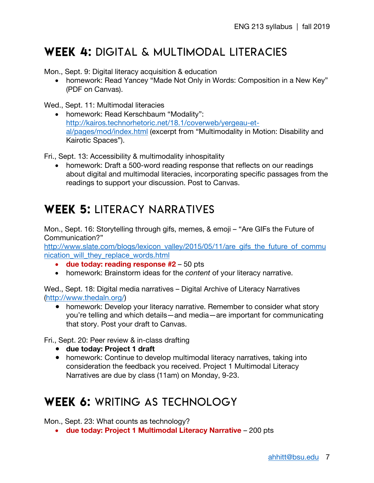# Week 4: digital & multimodal literacies

Mon., Sept. 9: Digital literacy acquisition & education

• homework: Read Yancey "Made Not Only in Words: Composition in a New Key" (PDF on Canvas).

Wed., Sept. 11: Multimodal literacies

• homework: Read Kerschbaum "Modality": http://kairos.technorhetoric.net/18.1/coverweb/yergeau-etal/pages/mod/index.html (excerpt from "Multimodality in Motion: Disability and Kairotic Spaces").

Fri., Sept. 13: Accessibility & multimodality inhospitality

• homework: Draft a 500-word reading response that reflects on our readings about digital and multimodal literacies, incorporating specific passages from the readings to support your discussion. Post to Canvas.

# WEEK 5: LITERACY NARRATIVES

Mon., Sept. 16: Storytelling through gifs, memes, & emoji – "Are GIFs the Future of Communication?"

http://www.slate.com/blogs/lexicon\_valley/2015/05/11/are\_gifs\_the\_future\_of\_commu nication\_will\_they\_replace\_words.html

- **due today: reading response #2**  50 pts
- homework: Brainstorm ideas for the *content* of your literacy narrative.

Wed., Sept. 18: Digital media narratives – Digital Archive of Literacy Narratives (http://www.thedaln.org/)

• homework: Develop your literacy narrative. Remember to consider what story you're telling and which details—and media—are important for communicating that story. Post your draft to Canvas.

Fri., Sept. 20: Peer review & in-class drafting

- **due today: Project 1 draft**
- homework: Continue to develop multimodal literacy narratives, taking into consideration the feedback you received. Project 1 Multimodal Literacy Narratives are due by class (11am) on Monday, 9-23.

# WEEK 6: WRITING AS TECHNOLOGY

Mon., Sept. 23: What counts as technology?

• **due today: Project 1 Multimodal Literacy Narrative** – 200 pts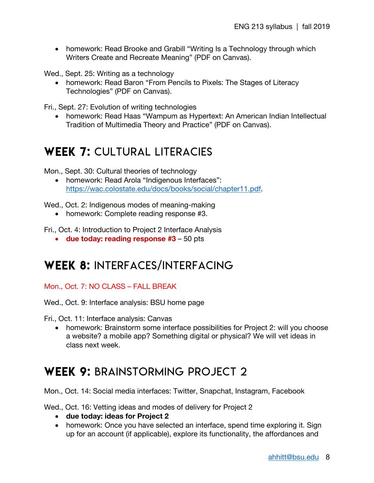• homework: Read Brooke and Grabill "Writing Is a Technology through which Writers Create and Recreate Meaning" (PDF on Canvas).

Wed., Sept. 25: Writing as a technology

• homework: Read Baron "From Pencils to Pixels: The Stages of Literacy Technologies" (PDF on Canvas).

Fri., Sept. 27: Evolution of writing technologies

• homework: Read Haas "Wampum as Hypertext: An American Indian Intellectual Tradition of Multimedia Theory and Practice" (PDF on Canvas).

# WEEK 7: CULTURAL LITERACIES

Mon., Sept. 30: Cultural theories of technology

• homework: Read Arola "Indigenous Interfaces": https://wac.colostate.edu/docs/books/social/chapter11.pdf.

Wed., Oct. 2: Indigenous modes of meaning-making

• homework: Complete reading response #3.

Fri., Oct. 4: Introduction to Project 2 Interface Analysis

• **due today: reading response #3** – 50 pts

# WEEK 8: INTERFACES/INTERFACING

Mon., Oct. 7: NO CLASS – FALL BREAK

Wed., Oct. 9: Interface analysis: BSU home page

Fri., Oct. 11: Interface analysis: Canvas

• homework: Brainstorm some interface possibilities for Project 2: will you choose a website? a mobile app? Something digital or physical? We will vet ideas in class next week.

# WEEK 9: BRAINSTORMING PROJECT 2

Mon., Oct. 14: Social media interfaces: Twitter, Snapchat, Instagram, Facebook

Wed., Oct. 16: Vetting ideas and modes of delivery for Project 2

- **due today: ideas for Project 2**
- homework: Once you have selected an interface, spend time exploring it. Sign up for an account (if applicable), explore its functionality, the affordances and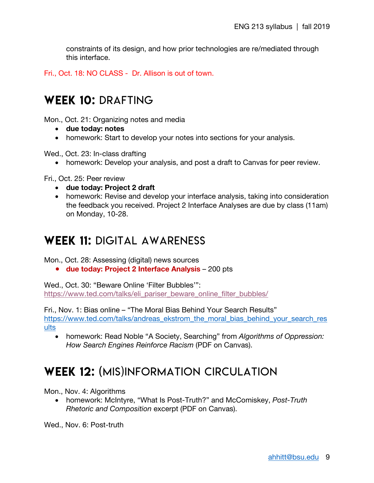constraints of its design, and how prior technologies are re/mediated through this interface.

Fri., Oct. 18: NO CLASS - Dr. Allison is out of town.

# WEEK 10: DRAFTING

Mon., Oct. 21: Organizing notes and media

- **due today: notes**
- homework: Start to develop your notes into sections for your analysis.

Wed., Oct. 23: In-class drafting

• homework: Develop your analysis, and post a draft to Canvas for peer review.

Fri., Oct. 25: Peer review

- **due today: Project 2 draft**
- homework: Revise and develop your interface analysis, taking into consideration the feedback you received. Project 2 Interface Analyses are due by class (11am) on Monday, 10-28.

### WEEK 11: DIGITAL AWARENESS

Mon., Oct. 28: Assessing (digital) news sources

● **due today: Project 2 Interface Analysis** – 200 pts

Wed., Oct. 30: "Beware Online 'Filter Bubbles'": https://www.ted.com/talks/eli\_pariser\_beware\_online\_filter\_bubbles/

Fri., Nov. 1: Bias online – "The Moral Bias Behind Your Search Results"

https://www.ted.com/talks/andreas\_ekstrom\_the\_moral\_bias\_behind\_your\_search\_res ults

• homework: Read Noble "A Society, Searching" from *Algorithms of Oppression: How Search Engines Reinforce Racism* (PDF on Canvas).

### Week 12: (mis)information circulation

Mon., Nov. 4: Algorithms

• homework: McIntyre, "What Is Post-Truth?" and McComiskey, *Post-Truth Rhetoric and Composition* excerpt (PDF on Canvas).

Wed., Nov. 6: Post-truth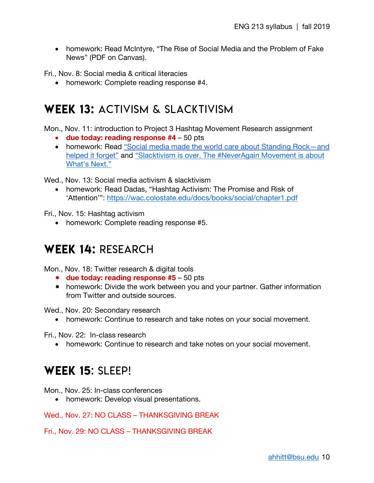• homework: Read McIntyre, "The Rise of Social Media and the Problem of Fake News" (PDF on Canvas).

Fri., Nov. 8: Social media & critical literacies

• homework: Complete reading response #4.

### WEEK 13: ACTIVISM & SLACKTIVISM

Mon., Nov. 11: introduction to Project 3 Hashtag Movement Research assignment

- **due today: reading response #4** 50 pts
- homework: Read "Social media made the world care about Standing Rock—and helped it forget" and "Slacktivism is over. The #NeverAgain Movement is about What's Next."

Wed., Nov. 13: Social media activism & slacktivism

• homework: Read Dadas, "Hashtag Activism: The Promise and Risk of 'Attention'": https://wac.colostate.edu/docs/books/social/chapter1.pdf

Fri., Nov. 15: Hashtag activism

• homework: Complete reading response #5.

### WEEK 14: RESEARCH

Mon., Nov. 18: Twitter research & digital tools

- **due today: reading response #5** 50 pts
- homework: Divide the work between you and your partner. Gather information from Twitter and outside sources.

Wed., Nov. 20: Secondary research

• homework: Continue to research and take notes on your social movement.

Fri., Nov. 22: In-class research

• homework: Continue to research and take notes on your social movement.

### WEEK 15: SLEEP!

Mon., Nov. 25: In-class conferences

• homework: Develop visual presentations.

Wed., Nov. 27: NO CLASS – THANKSGIVING BREAK

Fri., Nov. 29: NO CLASS – THANKSGIVING BREAK